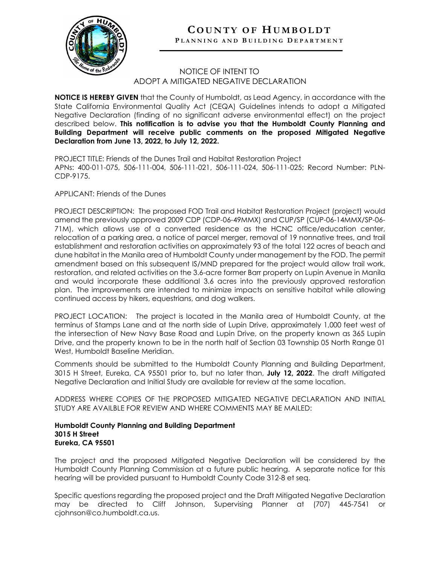

## **COUNTY OF HUMBOLDT P LANNING AND B UILDING D EPARTMENT**

## NOTICE OF INTENT TO ADOPT A MITIGATED NEGATIVE DECLARATION

**NOTICE IS HEREBY GIVEN** that the County of Humboldt, as Lead Agency, in accordance with the State California Environmental Quality Act (CEQA) Guidelines intends to adopt a Mitigated Negative Declaration (finding of no significant adverse environmental effect) on the project described below. **This notification is to advise you that the Humboldt County Planning and Building Department will receive public comments on the proposed Mitigated Negative Declaration from June 13, 2022, to July 12, 2022.**

PROJECT TITLE: Friends of the Dunes Trail and Habitat Restoration Project APNs: 400-011-075, 506-111-004, 506-111-021, 506-111-024, 506-111-025; Record Number: PLN-CDP-9175.

APPLICANT: Friends of the Dunes

PROJECT DESCRIPTION: The proposed FOD Trail and Habitat Restoration Project (project) would amend the previously approved 2009 CDP (CDP-06-49MMX) and CUP/SP (CUP-06-14MMX/SP-06- 71M), which allows use of a converted residence as the HCNC office/education center, relocation of a parking area, a notice of parcel merger, removal of 19 nonnative trees, and trail establishment and restoration activities on approximately 93 of the total 122 acres of beach and dune habitat in the Manila area of Humboldt County under management by the FOD. The permit amendment based on this subsequent IS/MND prepared for the project would allow trail work, restoration, and related activities on the 3.6-acre former Barr property on Lupin Avenue in Manila and would incorporate these additional 3.6 acres into the previously approved restoration plan. The improvements are intended to minimize impacts on sensitive habitat while allowing continued access by hikers, equestrians, and dog walkers.

PROJECT LOCATION: The project is located in the Manila area of Humboldt County, at the terminus of Stamps Lane and at the north side of Lupin Drive, approximately 1,000 feet west of the intersection of New Navy Base Road and Lupin Drive, on the property known as 365 Lupin Drive, and the property known to be in the north half of Section 03 Township 05 North Range 01 West, Humboldt Baseline Meridian.

Comments should be submitted to the Humboldt County Planning and Building Department, 3015 H Street, Eureka, CA 95501 prior to, but no later than, **July 12, 2022**. The draft Mitigated Negative Declaration and Initial Study are available for review at the same location.

ADDRESS WHERE COPIES OF THE PROPOSED MITIGATED NEGATIVE DECLARATION AND INITIAL STUDY ARE AVAILBLE FOR REVIEW AND WHERE COMMENTS MAY BE MAILED:

## **Humboldt County Planning and Building Department 3015 H Street Eureka, CA 95501**

The project and the proposed Mitigated Negative Declaration will be considered by the Humboldt County Planning Commission at a future public hearing. A separate notice for this hearing will be provided pursuant to Humboldt County Code 312-8 et seq.

Specific questions regarding the proposed project and the Draft Mitigated Negative Declaration may be directed to Cliff Johnson, Supervising Planner at (707) 445-7541 or cjohnson@co.humboldt.ca.us.